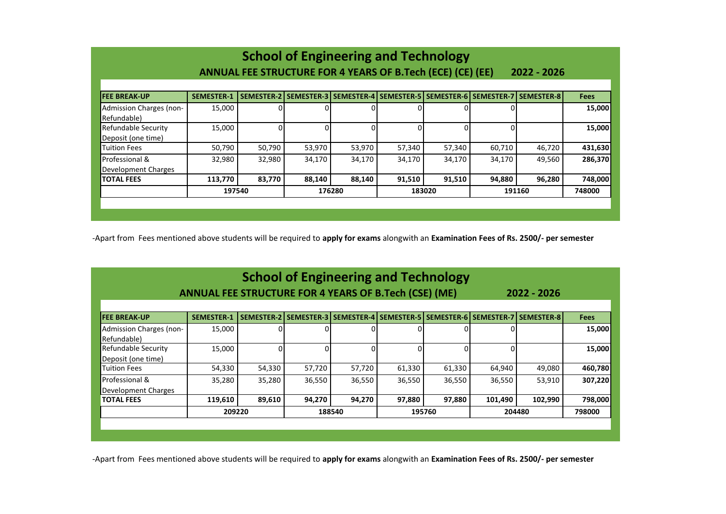| <b>School of Engineering and Technology</b>                               |                   |                   |        |        |        |        |        |                                                                             |         |  |
|---------------------------------------------------------------------------|-------------------|-------------------|--------|--------|--------|--------|--------|-----------------------------------------------------------------------------|---------|--|
| ANNUAL FEE STRUCTURE FOR 4 YEARS OF B.Tech (ECE) (CE) (EE)<br>2022 - 2026 |                   |                   |        |        |        |        |        |                                                                             |         |  |
| <b>FEE BREAK-UP</b>                                                       | <b>SEMESTER-1</b> | <b>SEMESTER-2</b> |        |        |        |        |        | SEMESTER-3   SEMESTER-4   SEMESTER-5   SEMESTER-6   SEMESTER-7   SEMESTER-8 | Fees    |  |
| Admission Charges (non-<br>Refundable)                                    | 15,000            | 0                 |        |        |        |        |        |                                                                             | 15,000  |  |
| Refundable Security<br>Deposit (one time)                                 | 15,000            | $\Omega$          |        | 0      |        |        |        |                                                                             | 15,000  |  |
| <b>Tuition Fees</b>                                                       | 50,790            | 50,790            | 53,970 | 53,970 | 57,340 | 57,340 | 60,710 | 46,720                                                                      | 431,630 |  |
| Professional &<br>Development Charges                                     | 32,980            | 32,980            | 34,170 | 34,170 | 34,170 | 34,170 | 34,170 | 49,560                                                                      | 286,370 |  |
| <b>TOTAL FEES</b>                                                         | 113,770           | 83,770            | 88,140 | 88,140 | 91,510 | 91,510 | 94,880 | 96,280                                                                      | 748,000 |  |
|                                                                           | 197540            |                   |        | 176280 |        | 183020 |        | 191160                                                                      |         |  |
|                                                                           |                   |                   |        |        |        |        |        |                                                                             |         |  |

-Apart from Fees mentioned above students will be required to **apply for exams** alongwith an **Examination Fees of Rs. 2500/- per semester**

| <b>School of Engineering and Technology</b><br>ANNUAL FEE STRUCTURE FOR 4 YEARS OF B.Tech (CSE) (ME)<br>2022 - 2026 |                   |                   |        |              |                                  |        |              |                                      |             |  |
|---------------------------------------------------------------------------------------------------------------------|-------------------|-------------------|--------|--------------|----------------------------------|--------|--------------|--------------------------------------|-------------|--|
| <b>FEE BREAK-UP</b>                                                                                                 | <b>SEMESTER-1</b> | <b>SEMESTER-2</b> |        |              | SEMESTER-3 SEMESTER-4 SEMESTER-5 |        |              | SEMESTER-6   SEMESTER-7   SEMESTER-8 | <b>Fees</b> |  |
| Admission Charges (non-<br>Refundable)                                                                              | 15,000            |                   |        |              |                                  |        |              |                                      | 15,000      |  |
| Refundable Security<br>Deposit (one time)                                                                           | 15,000            | $\Omega$          | n      | <sup>0</sup> |                                  |        | <sup>0</sup> |                                      | 15,000      |  |
| <b>Tuition Fees</b>                                                                                                 | 54,330            | 54,330            | 57,720 | 57,720       | 61,330                           | 61,330 | 64,940       | 49,080                               | 460,780     |  |
| Professional &<br>Development Charges                                                                               | 35,280            | 35,280            | 36,550 | 36,550       | 36,550                           | 36,550 | 36,550       | 53,910                               | 307,220     |  |
| <b>TOTAL FEES</b>                                                                                                   | 119,610           | 89,610            | 94,270 | 94,270       | 97,880                           | 97,880 | 101,490      | 102,990                              | 798,000     |  |
|                                                                                                                     | 209220            |                   |        | 188540       |                                  | 195760 |              | 204480                               |             |  |

-Apart from Fees mentioned above students will be required to **apply for exams** alongwith an **Examination Fees of Rs. 2500/- per semester**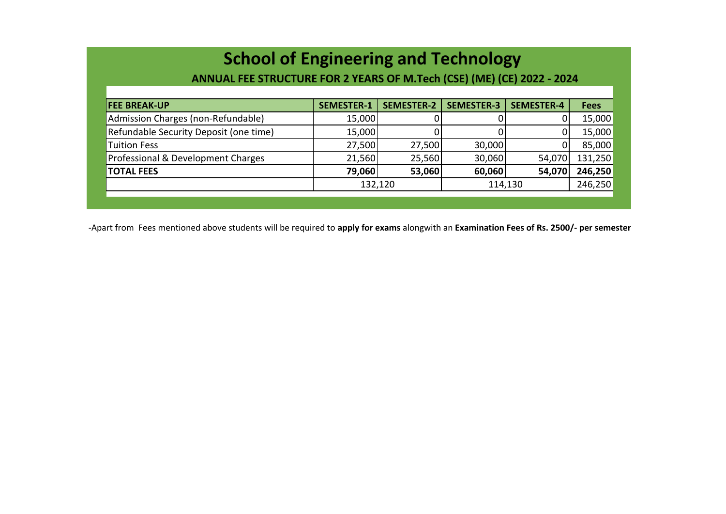## **School of Engineering and Technology**

 **ANNUAL FEE STRUCTURE FOR 2 YEARS OF M.Tech (CSE) (ME) (CE) 2022 - 2024**

| <b>FEE BREAK-UP</b>                    | <b>SEMESTER-1</b> | <b>SEMESTER-2</b> | <b>SEMESTER-3</b> | <b>SEMESTER-4</b> | <b>Fees</b> |
|----------------------------------------|-------------------|-------------------|-------------------|-------------------|-------------|
| Admission Charges (non-Refundable)     | 15,000            |                   |                   |                   | 15,000      |
| Refundable Security Deposit (one time) | 15,000            |                   |                   |                   | 15,000      |
| <b>Tuition Fess</b>                    | 27,500            | 27,500            | 30,000            |                   | 85,000      |
| Professional & Development Charges     | 21,560            | 25,560            | 30,060            | 54,070            | 131,250     |
| <b>TOTAL FEES</b>                      | 79,060            | 53,060            | 60,060            | 54,070            | 246,250     |
|                                        | 132,120           |                   | 114,130           |                   | 246,250     |
|                                        |                   |                   |                   |                   |             |

-Apart from Fees mentioned above students will be required to **apply for exams** alongwith an **Examination Fees of Rs. 2500/- per semester**